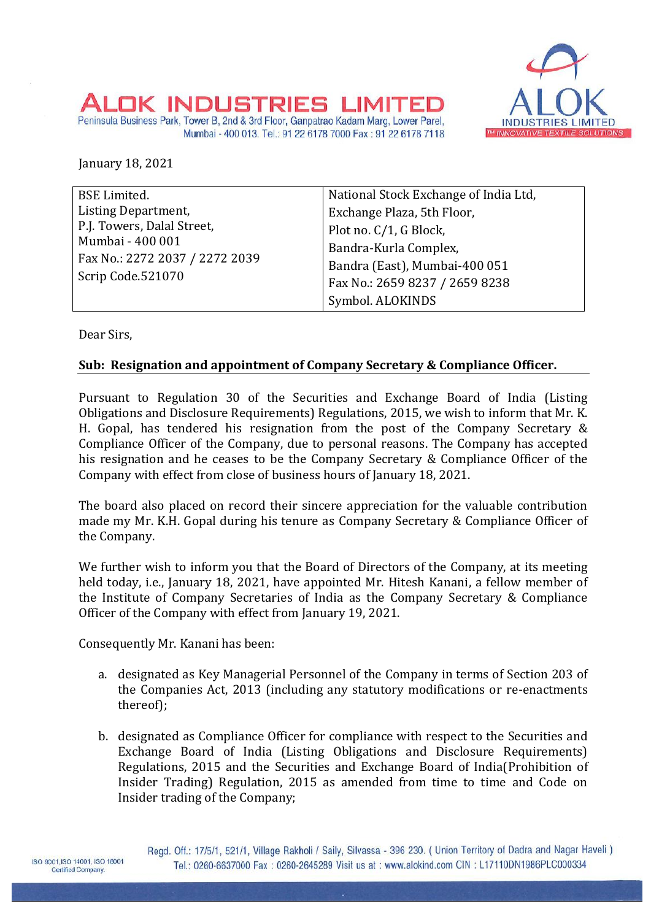

## ALOK INDUSTRIES

Peninsula Business Park, Tower B, 2nd & 3rd Floor, Ganpatrao Kadam Marg, Lower Parel, Mumbai - 400 013. Tel.: 91 22 6178 7000 Fax: 91 22 6178 7118

January 18, 2021

| <b>BSE Limited.</b>            | National Stock Exchange of India Ltd, |
|--------------------------------|---------------------------------------|
| Listing Department,            | Exchange Plaza, 5th Floor,            |
| P.J. Towers, Dalal Street,     | Plot no. C/1, G Block,                |
| Mumbai - 400 001               | Bandra-Kurla Complex,                 |
| Fax No.: 2272 2037 / 2272 2039 | Bandra (East), Mumbai-400 051         |
| Scrip Code.521070              | Fax No.: 2659 8237 / 2659 8238        |
|                                | Symbol. ALOKINDS                      |

Dear Sirs,

## **Sub: Resignation and appointment of Company Secretary & Compliance Officer.**

Pursuant to Regulation 30 of the Securities and Exchange Board of India (Listing Obligations and Disclosure Requirements) Regulations, 2015, we wish to inform that Mr. K. H. Gopal, has tendered his resignation from the post of the Company Secretary & Compliance Officer of the Company, due to personal reasons. The Company has accepted his resignation and he ceases to be the Company Secretary & Compliance Officer of the Company with effect from close of business hours of January 18, 2021.

The board also placed on record their sincere appreciation for the valuable contribution made my Mr. K.H. Gopal during his tenure as Company Secretary & Compliance Officer of the Company.

We further wish to inform you that the Board of Directors of the Company, at its meeting held today, i.e., January 18, 2021, have appointed Mr. Hitesh Kanani, a fellow member of the Institute of Company Secretaries of India as the Company Secretary & Compliance Officer of the Company with effect from January 19, 2021.

Consequently Mr. Kanani has been:

- a. designated as Key Managerial Personnel of the Company in terms of Section 203 of the Companies Act, 2013 (including any statutory modifications or re-enactments thereof);
- b. designated as Compliance Officer for compliance with respect to the Securities and Exchange Board of India (Listing Obligations and Disclosure Requirements) Regulations, 2015 and the Securities and Exchange Board of India(Prohibition of Insider Trading) Regulation, 2015 as amended from time to time and Code on Insider trading of the Company;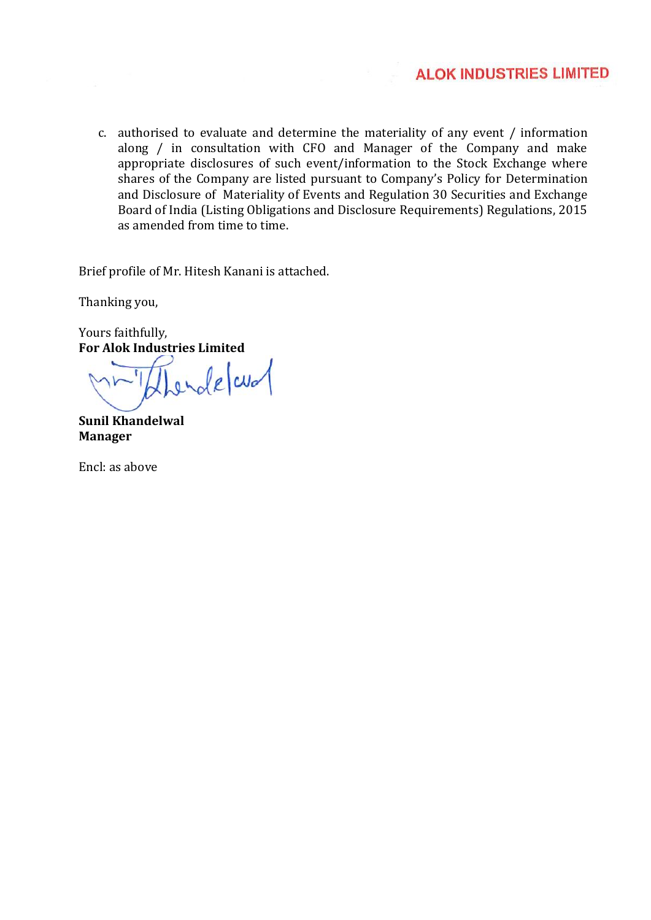c. authorised to evaluate and determine the materiality of any event / information along / in consultation with CFO and Manager of the Company and make appropriate disclosures of such event/information to the Stock Exchange where shares of the Company are listed pursuant to Company's Policy for Determination and Disclosure of Materiality of Events and Regulation 30 Securities and Exchange Board of India (Listing Obligations and Disclosure Requirements) Regulations, 2015 as amended from time to time.

Brief profile of Mr. Hitesh Kanani is attached.

Thanking you,

Yours faithfully, **For Alok Industries Limited**

ende and

**Sunil Khandelwal Manager**

Encl: as above